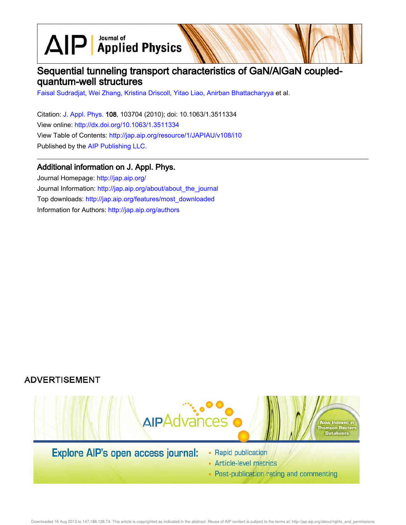$\text{AlP}$  Applied Physics

# Sequential tunneling transport characteristics of GaN/AlGaN coupledquantum-well structures

Faisal Sudradjat, Wei Zhang, Kristina Driscoll, Yitao Liao, Anirban Bhattacharyya et al.

Citation: J. Appl. Phys. 108, 103704 (2010); doi: 10.1063/1.3511334 View online: http://dx.doi.org/10.1063/1.3511334 View Table of Contents: http://jap.aip.org/resource/1/JAPIAU/v108/i10 Published by the AIP Publishing LLC.

# Additional information on J. Appl. Phys.

Journal Homepage: http://jap.aip.org/ Journal Information: http://jap.aip.org/about/about\_the\_journal Top downloads: http://jap.aip.org/features/most\_downloaded Information for Authors: http://jap.aip.org/authors

# **ADVERTISEMENT**



• Post-publication rating and commenting

Downloaded 16 Aug 2013 to 147.188.128.74. This article is copyrighted as indicated in the abstract. Reuse of AIP content is subject to the terms at: http://jap.aip.org/about/rights\_and\_permissions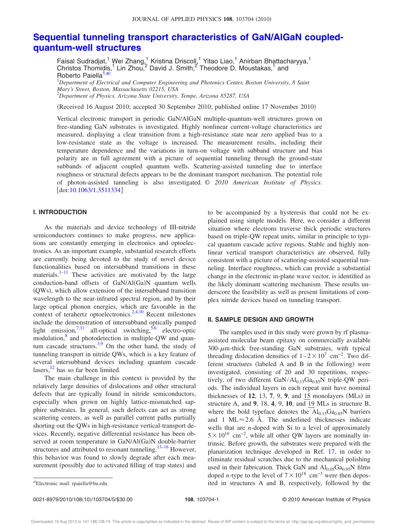# **Sequential tunneling transport characteristics of GaN/AlGaN coupledquantum-well structures**

Faisal Sudradjat,<sup>1</sup> Wei Zhang,<sup>1</sup> Kristina Driscoll,<sup>1</sup> Yitao Liao,<sup>1</sup> Anirban Bhattacharyya,<sup>1</sup> Christos Thomidis,<sup>1</sup> Lin Zhou,<sup>2</sup> David J. Smith,<sup>2</sup> Theodore D. Moustakas,<sup>1</sup> and Roberto Paiella<sup>1,a)</sup>

<sup>1</sup>*Department of Electrical and Computer Engineering and Photonics Center, Boston University, 8 Saint Mary's Street, Boston, Massachusetts 02215, USA*

<sup>2</sup>*Department of Physics, Arizona State University, Tempe, Arizona 85287, USA*

(Received 16 August 2010; accepted 30 September 2010; published online 17 November 2010)

Vertical electronic transport in periodic GaN/AlGaN multiple-quantum-well structures grown on free-standing GaN substrates is investigated. Highly nonlinear current-voltage characteristics are measured, displaying a clear transition from a high-resistance state near zero applied bias to a low-resistance state as the voltage is increased. The measurement results, including their temperature dependence and the variations in turn-on voltage with subband structure and bias polarity are in full agreement with a picture of sequential tunneling through the ground-state subbands of adjacent coupled quantum wells. Scattering-assisted tunneling due to interface roughness or structural defects appears to be the dominant transport mechanism. The potential role of photon-assisted tunneling is also investigated. © *2010 American Institute of Physics*. doi:10.1063/1.3511334

## **I. INTRODUCTION**

As the materials and device technology of III-nitride semiconductors continues to make progress, new applications are constantly emerging in electronics and optoelectronics. As an important example, substantial research efforts are currently being devoted to the study of novel device functionalities based on intersubband transitions in these materials. $1-11$  These activities are motivated by the large conduction-band offsets of GaN/Al(Ga)N quantum wells (QWs), which allow extension of the intersubband transition wavelength to the near-infrared spectral region, and by their large optical phonon energies, which are favorable in the context of terahertz optoelectronics.<sup>2,4,10</sup> Recent milestones include the demonstration of intersubband optically pumped light emission,  $7,11$  all-optical switching,  $5,6$  electro-optic modulation,<sup>8</sup> and photodetection in multiple-QW and quantum cascade structures. $3,9$  On the other hand, the study of tunneling transport in nitride QWs, which is a key feature of several intersubband devices including quantum cascade lasers, $12$  has so far been limited.

The main challenge in this context is provided by the relatively large densities of dislocations and other structural defects that are typically found in nitride semiconductors, especially when grown on highly lattice-mismatched sapphire substrates. In general, such defects can act as strong scattering centers, as well as parallel current paths partially shorting out the QWs in high-resistance vertical-transport devices. Recently, negative differential resistance has been observed at room temperature in GaN/Al(Ga)N double-barrier structures and attributed to resonant tunneling.<sup>13–16</sup> However, this behavior was found to slowly degrade after each measurement (possibly due to activated filling of trap states) and

to be accompanied by a hysteresis that could not be explained using simple models. Here, we consider a different situation where electrons traverse thick periodic structures based on triple-QW repeat units, similar in principle to typical quantum cascade active regions. Stable and highly nonlinear vertical transport characteristics are observed, fully consistent with a picture of scattering-assisted sequential tunneling. Interface roughness, which can provide a substantial change in the electronic in-plane wave vector, is identified as the likely dominant scattering mechanism. These results underscore the feasibility as well as present limitations of complex nitride devices based on tunneling transport.

### **II. SAMPLE DESIGN AND GROWTH**

The samples used in this study were grown by rf plasmaassisted molecular beam epitaxy on commercially available  $300$ - $\mu$ m-thick free-standing GaN substrates, with typical threading dislocation densities of  $1-2 \times 10^7$  cm<sup>-2</sup>. Two different structures (labeled A and B in the following) were investigated, consisting of 20 and 30 repetitions, respectively, of two different  $GaN/Al<sub>0.15</sub>Ga<sub>0.85</sub>N$  triple-QW periods. The individual layers in each repeat unit have nominal thicknesses of  $12$ ,  $13$ ,  $7$ ,  $9$ ,  $9$ , and  $15$  monolayers (MLs) in structure A, and **9**, 18, **4**, 9, **10**, and 19 MLs in structure B, where the bold typeface denotes the  $Al<sub>0.15</sub>Ga<sub>0.85</sub>N$  barriers and 1 ML $\approx$  2.6 Å. The underlined thicknesses indicate wells that are *n*-doped with Si to a level of approximately  $5 \times 10^{10}$  cm<sup>-2</sup>, while all other QW layers are nominally intrinsic. Before growth, the substrates were prepared with the planarization technique developed in Ref. 17, in order to eliminate residual scratches due to the mechanical polishing used in their fabrication. Thick GaN and  $Al_{0.05}Ga_{0.95}N$  films doped *n*-type to the level of  $7 \times 10^{18}$  cm<sup>-3</sup> were then deposited in structures A and B, respectively, followed by the

0021-8979/2010/108(10)/103704/5/\$30.00

a)Electronic mail: rpaiella@bu.edu.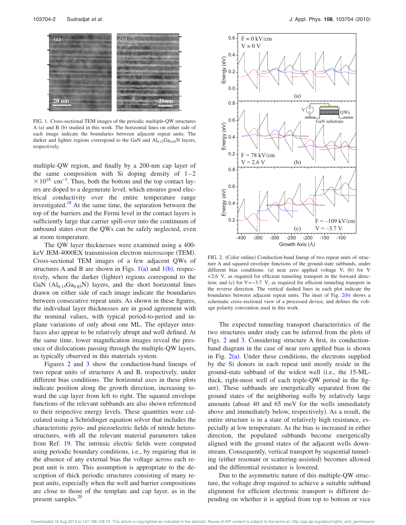

FIG. 1. Cross-sectional TEM images of the periodic multiple-QW structures A (a) and B (b) studied in this work. The horizontal lines on either side of each image indicate the boundaries between adjacent repeat units. The darker and lighter regions correspond to the GaN and  $Al_{0.15}Ga_{0.85}N$  layers, respectively.

multiple-QW region, and finally by a 200-nm cap layer of the same composition with Si doping density of  $1-2$  $\times 10^{18}$  cm<sup>-3</sup>. Thus, both the bottom and the top contact layers are doped to a degenerate level, which ensures good electrical conductivity over the entire temperature range investigated.<sup>18</sup> At the same time, the separation between the top of the barriers and the Fermi level in the contact layers is sufficiently large that carrier spill-over into the continuum of unbound states over the QWs can be safely neglected, even at room temperature.

The QW layer thicknesses were examined using a 400 keV JEM-4000EX transmission electron microscope (TEM). Cross-sectional TEM images of a few adjacent QWs of structures A and B are shown in Figs.  $1(a)$  and  $1(b)$ , respectively, where the darker (lighter) regions correspond to the GaN  $(Al<sub>0.15</sub>Ga<sub>0.85</sub>N)$  layers, and the short horizontal lines drawn on either side of each image indicate the boundaries between consecutive repeat units. As shown in these figures, the individual layer thicknesses are in good agreement with the nominal values, with typical period-to-period and inplane variations of only about one ML. The epilayer interfaces also appear to be relatively abrupt and well defined. At the same time, lower magnification images reveal the presence of dislocations passing through the multiple-QW layers, as typically observed in this materials system.

Figures 2 and 3 show the conduction-band lineups of two repeat units of structures A and B, respectively, under different bias conditions. The horizontal axes in these plots indicate position along the growth direction, increasing toward the cap layer from left to right. The squared envelope functions of the relevant subbands are also shown referenced to their respective energy levels. These quantities were calculated using a Schrödinger equation solver that includes the characteristic pyro- and piezoelectric fields of nitride heterostructures, with all the relevant material parameters taken from Ref. 19. The intrinsic electric fields were computed using periodic boundary conditions, i.e., by requiring that in the absence of any external bias the voltage across each repeat unit is zero. This assumption is appropriate to the description of thick periodic structures consisting of many repeat units, especially when the well and barrier compositions are close to those of the template and cap layer, as in the present samples. $20$ 



FIG. 2. (Color online) Conduction-band lineup of two repeat units of structure A and squared envelope functions of the ground-state subbands, under different bias conditions: (a) near zero applied voltage V; (b) for V  $= 2.6$  V, as required for efficient tunneling transport in the forward direction; and (c) for  $V = -3.7$  V, as required for efficient tunneling transport in the reverse direction. The vertical dashed lines in each plot indicate the boundaries between adjacent repeat units. The inset of Fig.  $2(b)$  shows a schematic cross-sectional view of a processed device, and defines the voltage polarity convention used in this work.

The expected tunneling transport characteristics of the two structures under study can be inferred from the plots of Figs. 2 and 3. Considering structure A first, its conductionband diagram in the case of near zero applied bias is shown in Fig.  $2(a)$ . Under these conditions, the electrons supplied by the Si donors in each repeat unit mostly reside in the ground-state subband of the widest well (i.e., the 15-MLthick, right-most well of each triple-QW period in the figure). These subbands are energetically separated from the ground states of the neighboring wells by relatively large amounts (about 40 and 65 meV for the wells immediately above and immediately below, respectively. As a result, the entire structure is in a state of relatively high resistance, especially at low temperature. As the bias is increased in either direction, the populated subbands become energetically aligned with the ground states of the adjacent wells downstream. Consequently, vertical transport by sequential tunneling (either resonant or scattering-assisted) becomes allowed and the differential resistance is lowered.

Due to the asymmetric nature of this multiple-QW structure, the voltage drop required to achieve a suitable subband alignment for efficient electronic transport is different depending on whether it is applied from top to bottom or vice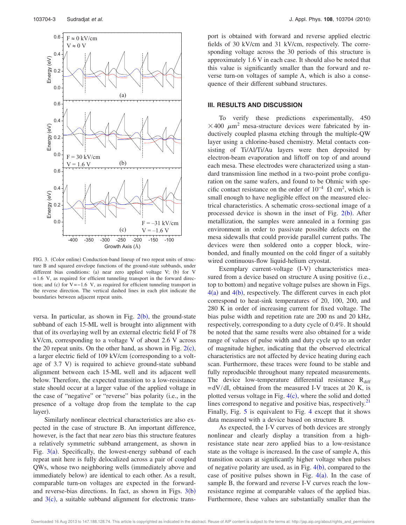

FIG. 3. (Color online) Conduction-band lineup of two repeat units of structure B and squared envelope functions of the ground-state subbands, under different bias conditions: (a) near zero applied voltage V; (b) for V  $= 1.6$  V, as required for efficient tunneling transport in the forward direction; and (c) for  $V = -1.6$  V, as required for efficient tunneling transport in the reverse direction. The vertical dashed lines in each plot indicate the boundaries between adjacent repeat units.

versa. In particular, as shown in Fig.  $2(b)$ , the ground-state subband of each 15-ML well is brought into alignment with that of its overlaying well by an external electric field F of 78 kV/cm, corresponding to a voltage V of about 2.6 V across the 20 repeat units. On the other hand, as shown in Fig.  $2(c)$ , a larger electric field of 109 kV/cm (corresponding to a voltage of  $3.7$  V) is required to achieve ground-state subband alignment between each 15-ML well and its adjacent well below. Therefore, the expected transition to a low-resistance state should occur at a larger value of the applied voltage in the case of "negative" or "reverse" bias polarity (i.e., in the presence of a voltage drop from the template to the cap layer).

Similarly nonlinear electrical characteristics are also expected in the case of structure B. An important difference, however, is the fact that near zero bias this structure features a relatively symmetric subband arrangement, as shown in Fig.  $3(a)$ . Specifically, the lowest-energy subband of each repeat unit here is fully delocalized across a pair of coupled QWs, whose two neighboring wells (immediately above and immediately below) are identical to each other. As a result, comparable turn-on voltages are expected in the forwardand reverse-bias directions. In fact, as shown in Figs.  $3(b)$ and  $3(c)$ , a suitable subband alignment for electronic transport is obtained with forward and reverse applied electric fields of 30 kV/cm and 31 kV/cm, respectively. The corresponding voltage across the 30 periods of this structure is approximately 1.6 V in each case. It should also be noted that this value is significantly smaller than the forward and reverse turn-on voltages of sample A, which is also a consequence of their different subband structures.

### **III. RESULTS AND DISCUSSION**

To verify these predictions experimentally, 450  $\times$  400  $\mu$ m<sup>2</sup> mesa-structure devices were fabricated by inductively coupled plasma etching through the multiple-QW layer using a chlorine-based chemistry. Metal contacts consisting of Ti/Al/Ti/Au layers were then deposited by electron-beam evaporation and liftoff on top of and around each mesa. These electrodes were characterized using a standard transmission line method in a two-point probe configuration on the same wafers, and found to be Ohmic with specific contact resistance on the order of  $10^{-4}$  Ω cm<sup>2</sup>, which is small enough to have negligible effect on the measured electrical characteristics. A schematic cross-sectional image of a processed device is shown in the inset of Fig.  $2(b)$ . After metallization, the samples were annealed in a forming gas environment in order to passivate possible defects on the mesa sidewalls that could provide parallel current paths. The devices were then soldered onto a copper block, wirebonded, and finally mounted on the cold finger of a suitably wired continuous-flow liquid-helium cryostat.

Exemplary current-voltage (I-V) characteristics measured from a device based on structure A using positive (i.e., top to bottom) and negative voltage pulses are shown in Figs.  $4(a)$  and  $4(b)$ , respectively. The different curves in each plot correspond to heat-sink temperatures of 20, 100, 200, and 280 K in order of increasing current for fixed voltage. The bias pulse width and repetition rate are 200 ns and 20 kHz, respectively, corresponding to a duty cycle of 0.4%. It should be noted that the same results were also obtained for a wide range of values of pulse width and duty cycle up to an order of magnitude higher, indicating that the observed electrical characteristics are not affected by device heating during each scan. Furthermore, these traces were found to be stable and fully reproducible throughout many repeated measurements. The device low-temperature differential resistance  $R_{diff}$  $=dV/dI$ , obtained from the measured I-V traces at 20 K, is plotted versus voltage in Fig.  $4(c)$ , where the solid and dotted lines correspond to negative and positive bias, respectively. $21$ Finally, Fig. 5 is equivalent to Fig. 4 except that it shows data measured with a device based on structure B.

As expected, the I-V curves of both devices are strongly nonlinear and clearly display a transition from a highresistance state near zero applied bias to a low-resistance state as the voltage is increased. In the case of sample A, this transition occurs at significantly higher voltage when pulses of negative polarity are used, as in Fig.  $4(b)$ , compared to the case of positive pulses shown in Fig.  $4(a)$ . In the case of sample B, the forward and reverse I-V curves reach the lowresistance regime at comparable values of the applied bias. Furthermore, these values are substantially smaller than the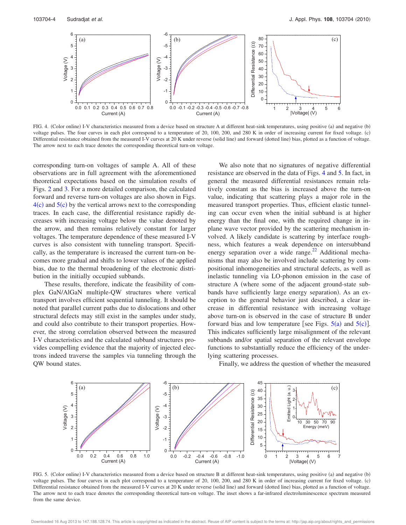

FIG. 4. (Color online) I-V characteristics measured from a device based on structure A at different heat-sink temperatures, using positive (a) and negative (b) voltage pulses. The four curves in each plot correspond to a temperature of 20, 100, 200, and 280 K in order of increasing current for fixed voltage. (c) Differential resistance obtained from the measured I-V curves at 20 K under reverse (solid line) and forward (dotted line) bias, plotted as a function of voltage. The arrow next to each trace denotes the corresponding theoretical turn-on voltage.

corresponding turn-on voltages of sample A. All of these observations are in full agreement with the aforementioned theoretical expectations based on the simulation results of Figs. 2 and 3. For a more detailed comparison, the calculated forward and reverse turn-on voltages are also shown in Figs.  $4(c)$  and  $5(c)$  by the vertical arrows next to the corresponding traces. In each case, the differential resistance rapidly decreases with increasing voltage below the value denoted by the arrow, and then remains relatively constant for larger voltages. The temperature dependence of these measured I-V curves is also consistent with tunneling transport. Specifically, as the temperature is increased the current turn-on becomes more gradual and shifts to lower values of the applied bias, due to the thermal broadening of the electronic distribution in the initially occupied subbands.

These results, therefore, indicate the feasibility of complex GaN/AlGaN multiple-QW structures where vertical transport involves efficient sequential tunneling. It should be noted that parallel current paths due to dislocations and other structural defects may still exist in the samples under study, and could also contribute to their transport properties. However, the strong correlation observed between the measured I-V characteristics and the calculated subband structures provides compelling evidence that the majority of injected electrons indeed traverse the samples via tunneling through the QW bound states.

We also note that no signatures of negative differential resistance are observed in the data of Figs. 4 and 5. In fact, in general the measured differential resistances remain relatively constant as the bias is increased above the turn-on value, indicating that scattering plays a major role in the measured transport properties. Thus, efficient elastic tunneling can occur even when the initial subband is at higher energy than the final one, with the required change in inplane wave vector provided by the scattering mechanism involved. A likely candidate is scattering by interface roughness, which features a weak dependence on intersubband energy separation over a wide range. $^{22}$  Additional mechanisms that may also be involved include scattering by compositional inhomogeneities and structural defects, as well as inelastic tunneling via LO-phonon emission in the case of structure A (where some of the adjacent ground-state subbands have sufficiently large energy separation). As an exception to the general behavior just described, a clear increase in differential resistance with increasing voltage above turn-on is observed in the case of structure B under forward bias and low temperature [see Figs.  $5(a)$  and  $5(c)$ ]. This indicates sufficiently large misalignment of the relevant subbands and/or spatial separation of the relevant envelope functions to substantially reduce the efficiency of the underlying scattering processes.





FIG. 5. (Color online) I-V characteristics measured from a device based on structure B at different heat-sink temperatures, using positive (a) and negative (b) voltage pulses. The four curves in each plot correspond to a temperature of 20, 100, 200, and 280 K in order of increasing current for fixed voltage. (c) Differential resistance obtained from the measured I-V curves at 20 K under reverse (solid line) and forward (dotted line) bias, plotted as a function of voltage. The arrow next to each trace denotes the corresponding theoretical turn-on voltage. The inset shows a far-infrared electroluminescence spectrum measured from the same device.

Downloaded 16 Aug 2013 to 147.188.128.74. This article is copyrighted as indicated in the abstract. Reuse of AIP content is subject to the terms at: http://jap.aip.org/about/rights\_and\_permissions